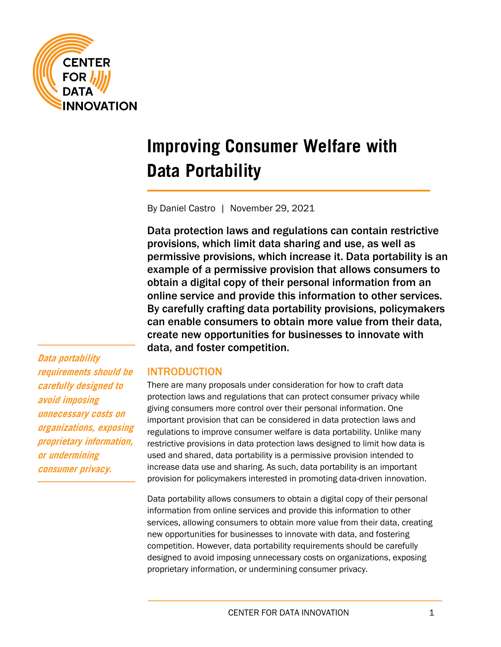

# **Improving Consumer Welfare with Data Portability**

By Daniel Castro | November 29, 2021

Data protection laws and regulations can contain restrictive provisions, which limit data sharing and use, as well as permissive provisions, which increase it. Data portability is an example of a permissive provision that allows consumers to obtain a digital copy of their personal information from an online service and provide this information to other services. By carefully crafting data portability provisions, policymakers can enable consumers to obtain more value from their data, create new opportunities for businesses to innovate with data, and foster competition.

**Data portability requirements should be carefully designed to avoid imposing unnecessary costs on organizations, exposing proprietary information, or undermining consumer privacy.**

# INTRODUCTION

There are many proposals under consideration for how to craft data protection laws and regulations that can protect consumer privacy while giving consumers more control over their personal information. One important provision that can be considered in data protection laws and regulations to improve consumer welfare is data portability. Unlike many restrictive provisions in data protection laws designed to limit how data is used and shared, data portability is a permissive provision intended to increase data use and sharing. As such, data portability is an important provision for policymakers interested in promoting data-driven innovation.

Data portability allows consumers to obtain a digital copy of their personal information from online services and provide this information to other services, allowing consumers to obtain more value from their data, creating new opportunities for businesses to innovate with data, and fostering competition. However, data portability requirements should be carefully designed to avoid imposing unnecessary costs on organizations, exposing proprietary information, or undermining consumer privacy.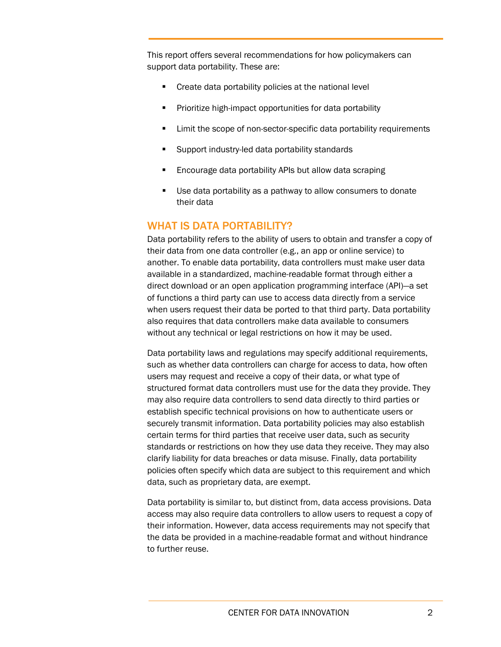This report offers several recommendations for how policymakers can support data portability. These are:

- **Create data portability policies at the national level**
- **Prioritize high-impact opportunities for data portability**
- **EXECT** Limit the scope of non-sector-specific data portability requirements
- **Support industry-led data portability standards**
- **Encourage data portability APIs but allow data scraping**
- Use data portability as a pathway to allow consumers to donate their data

## WHAT IS DATA PORTABILITY?

Data portability refers to the ability of users to obtain and transfer a copy of their data from one data controller (e.g., an app or online service) to another. To enable data portability, data controllers must make user data available in a standardized, machine-readable format through either a direct download or an open application programming interface (API)—a set of functions a third party can use to access data directly from a service when users request their data be ported to that third party. Data portability also requires that data controllers make data available to consumers without any technical or legal restrictions on how it may be used.

Data portability laws and regulations may specify additional requirements, such as whether data controllers can charge for access to data, how often users may request and receive a copy of their data, or what type of structured format data controllers must use for the data they provide. They may also require data controllers to send data directly to third parties or establish specific technical provisions on how to authenticate users or securely transmit information. Data portability policies may also establish certain terms for third parties that receive user data, such as security standards or restrictions on how they use data they receive. They may also clarify liability for data breaches or data misuse. Finally, data portability policies often specify which data are subject to this requirement and which data, such as proprietary data, are exempt.

Data portability is similar to, but distinct from, data access provisions. Data access may also require data controllers to allow users to request a copy of their information. However, data access requirements may not specify that the data be provided in a machine-readable format and without hindrance to further reuse.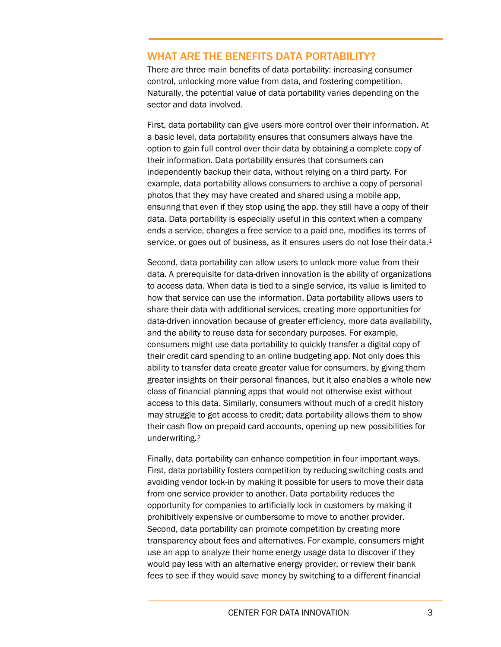## WHAT ARE THE BENEFITS DATA PORTABILITY?

There are three main benefits of data portability: increasing consumer control, unlocking more value from data, and fostering competition. Naturally, the potential value of data portability varies depending on the sector and data involved.

First, data portability can give users more control over their information. At a basic level, data portability ensures that consumers always have the option to gain full control over their data by obtaining a complete copy of their information. Data portability ensures that consumers can independently backup their data, without relying on a third party. For example, data portability allows consumers to archive a copy of personal photos that they may have created and shared using a mobile app, ensuring that even if they stop using the app, they still have a copy of their data. Data portability is especially useful in this context when a company ends a service, changes a free service to a paid one, modifies its terms of service, or goes out of business, as it ensures users do not lose their data.<sup>[1](#page-16-0)</sup>

Second, data portability can allow users to unlock more value from their data. A prerequisite for data-driven innovation is the ability of organizations to access data. When data is tied to a single service, its value is limited to how that service can use the information. Data portability allows users to share their data with additional services, creating more opportunities for data-driven innovation because of greater efficiency, more data availability, and the ability to reuse data for secondary purposes. For example, consumers might use data portability to quickly transfer a digital copy of their credit card spending to an online budgeting app. Not only does this ability to transfer data create greater value for consumers, by giving them greater insights on their personal finances, but it also enables a whole new class of financial planning apps that would not otherwise exist without access to this data. Similarly, consumers without much of a credit history may struggle to get access to credit; data portability allows them to show their cash flow on prepaid card accounts, opening up new possibilities for underwriting.[2](#page-16-1)

Finally, data portability can enhance competition in four important ways. First, data portability fosters competition by reducing switching costs and avoiding vendor lock-in by making it possible for users to move their data from one service provider to another. Data portability reduces the opportunity for companies to artificially lock in customers by making it prohibitively expensive or cumbersome to move to another provider. Second, data portability can promote competition by creating more transparency about fees and alternatives. For example, consumers might use an app to analyze their home energy usage data to discover if they would pay less with an alternative energy provider, or review their bank fees to see if they would save money by switching to a different financial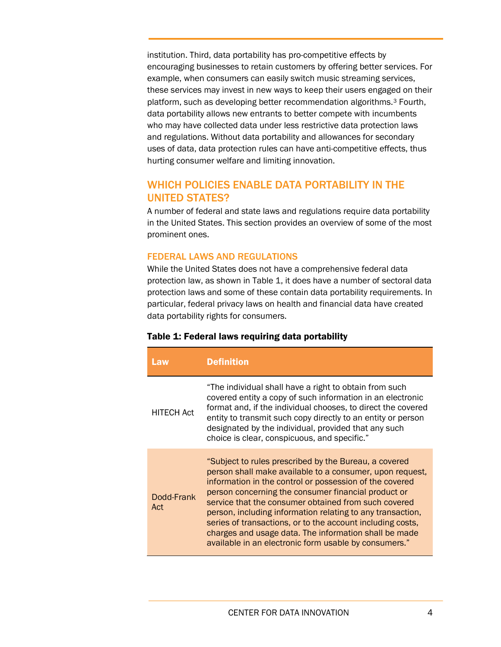institution. Third, data portability has pro-competitive effects by encouraging businesses to retain customers by offering better services. For example, when consumers can easily switch music streaming services, these services may invest in new ways to keep their users engaged on their platform, such as developing better recommendation algorithms.[3](#page-16-2) Fourth, data portability allows new entrants to better compete with incumbents who may have collected data under less restrictive data protection laws and regulations. Without data portability and allowances for secondary uses of data, data protection rules can have anti-competitive effects, thus hurting consumer welfare and limiting innovation.

# WHICH POLICIES ENABLE DATA PORTABILITY IN THE UNITED STATES?

A number of federal and state laws and regulations require data portability in the United States. This section provides an overview of some of the most prominent ones.

## FEDERAL LAWS AND REGULATIONS

While the United States does not have a comprehensive federal data protection law, as shown in Table 1, it does have a number of sectoral data protection laws and some of these contain data portability requirements. In particular, federal privacy laws on health and financial data have created data portability rights for consumers.

## Table 1: Federal laws requiring data portability

| Law               | <b>Definition</b>                                                                                                                                                                                                                                                                                                                                                                                                                                                                                                                         |
|-------------------|-------------------------------------------------------------------------------------------------------------------------------------------------------------------------------------------------------------------------------------------------------------------------------------------------------------------------------------------------------------------------------------------------------------------------------------------------------------------------------------------------------------------------------------------|
| <b>HITECH Act</b> | "The individual shall have a right to obtain from such<br>covered entity a copy of such information in an electronic<br>format and, if the individual chooses, to direct the covered<br>entity to transmit such copy directly to an entity or person<br>designated by the individual, provided that any such<br>choice is clear, conspicuous, and specific."                                                                                                                                                                              |
| Dodd-Frank<br>Act | "Subject to rules prescribed by the Bureau, a covered<br>person shall make available to a consumer, upon request,<br>information in the control or possession of the covered<br>person concerning the consumer financial product or<br>service that the consumer obtained from such covered<br>person, including information relating to any transaction,<br>series of transactions, or to the account including costs,<br>charges and usage data. The information shall be made<br>available in an electronic form usable by consumers." |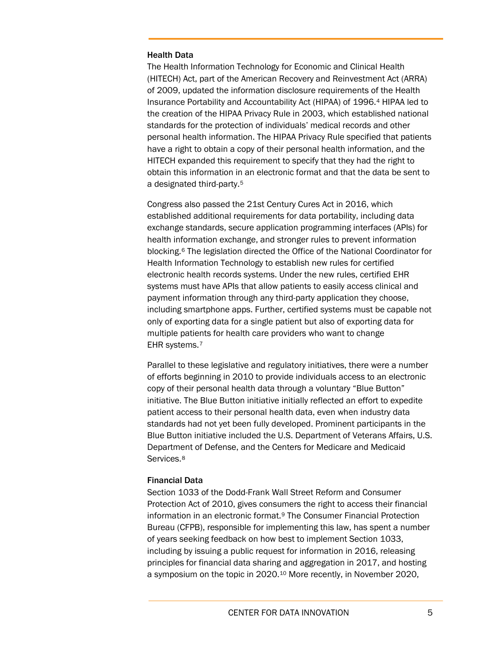#### Health Data

The Health Information Technology for Economic and Clinical Health (HITECH) Act, part of the American Recovery and Reinvestment Act (ARRA) of 2009, updated the information disclosure requirements of the Health Insurance Portability and Accountability Act (HIPAA) of 1996.[4](#page-16-3) HIPAA led to the creation of the HIPAA Privacy Rule in 2003, which established national standards for the protection of individuals' medical records and other personal health information. The HIPAA Privacy Rule specified that patients have a right to obtain a copy of their personal health information, and the HITECH expanded this requirement to specify that they had the right to obtain this information in an electronic format and that the data be sent to a designated third-party.[5](#page-16-4)

Congress also passed the 21st Century Cures Act in 2016, which established additional requirements for data portability, including data exchange standards, secure application programming interfaces (APIs) for health information exchange, and stronger rules to prevent information blocking.[6](#page-16-5) The legislation directed the Office of the National Coordinator for Health Information Technology to establish new rules for certified electronic health records systems. Under the new rules, certified EHR systems must have APIs that allow patients to easily access clinical and payment information through any third-party application they choose, including smartphone apps. Further, certified systems must be capable not only of exporting data for a single patient but also of exporting data for multiple patients for health care providers who want to change EHR systems.[7](#page-16-6)

Parallel to these legislative and regulatory initiatives, there were a number of efforts beginning in 2010 to provide individuals access to an electronic copy of their personal health data through a voluntary "Blue Button" initiative. The Blue Button initiative initially reflected an effort to expedite patient access to their personal health data, even when industry data standards had not yet been fully developed. Prominent participants in the Blue Button initiative included the U.S. Department of Veterans Affairs, U.S. Department of Defense, and the Centers for Medicare and Medicaid Services.<sup>[8](#page-16-7)</sup>

#### Financial Data

Section 1033 of the Dodd-Frank Wall Street Reform and Consumer Protection Act of 2010, gives consumers the right to access their financial information in an electronic format.[9](#page-16-8) The Consumer Financial Protection Bureau (CFPB), responsible for implementing this law, has spent a number of years seeking feedback on how best to implement Section 1033, including by issuing a public request for information in 2016, releasing principles for financial data sharing and aggregation in 2017, and hosting a symposium on the topic in 2020.[10](#page-16-9) More recently, in November 2020,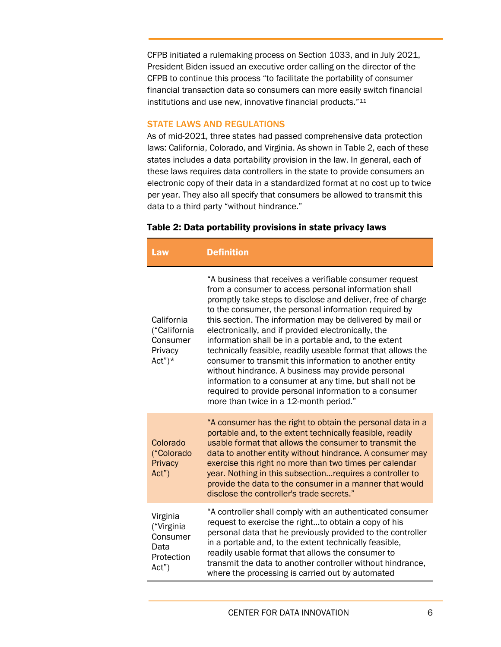CFPB initiated a rulemaking process on Section 1033, and in July 2021, President Biden issued an executive order calling on the director of the CFPB to continue this process "to facilitate the portability of consumer financial transaction data so consumers can more easily switch financial institutions and use new, innovative financial products."[11](#page-17-0)

### STATE LAWS AND REGULATIONS

As of mid-2021, three states had passed comprehensive data protection laws: California, Colorado, and Virginia. As shown in [Table 2,](#page-5-0) each of these states includes a data portability provision in the law. In general, each of these laws requires data controllers in the state to provide consumers an electronic copy of their data in a standardized format at no cost up to twice per year. They also all specify that consumers be allowed to transmit this data to a third party "without hindrance."

#### <span id="page-5-0"></span>Table 2: Data portability provisions in state privacy laws

| Law                                                               | <b>Definition</b>                                                                                                                                                                                                                                                                                                                                                                                                                                                                                                                                                                                                                                                                                                                                                    |
|-------------------------------------------------------------------|----------------------------------------------------------------------------------------------------------------------------------------------------------------------------------------------------------------------------------------------------------------------------------------------------------------------------------------------------------------------------------------------------------------------------------------------------------------------------------------------------------------------------------------------------------------------------------------------------------------------------------------------------------------------------------------------------------------------------------------------------------------------|
| California<br>("California<br>Consumer<br>Privacy<br>$Act")^*$    | "A business that receives a verifiable consumer request<br>from a consumer to access personal information shall<br>promptly take steps to disclose and deliver, free of charge<br>to the consumer, the personal information required by<br>this section. The information may be delivered by mail or<br>electronically, and if provided electronically, the<br>information shall be in a portable and, to the extent<br>technically feasible, readily useable format that allows the<br>consumer to transmit this information to another entity<br>without hindrance. A business may provide personal<br>information to a consumer at any time, but shall not be<br>required to provide personal information to a consumer<br>more than twice in a 12-month period." |
| Colorado<br>("Colorado<br>Privacy<br>Act")                        | "A consumer has the right to obtain the personal data in a<br>portable and, to the extent technically feasible, readily<br>usable format that allows the consumer to transmit the<br>data to another entity without hindrance. A consumer may<br>exercise this right no more than two times per calendar<br>year. Nothing in this subsection requires a controller to<br>provide the data to the consumer in a manner that would<br>disclose the controller's trade secrets."                                                                                                                                                                                                                                                                                        |
| Virginia<br>("Virginia<br>Consumer<br>Data<br>Protection<br>Act") | "A controller shall comply with an authenticated consumer<br>request to exercise the rightto obtain a copy of his<br>personal data that he previously provided to the controller<br>in a portable and, to the extent technically feasible,<br>readily usable format that allows the consumer to<br>transmit the data to another controller without hindrance,<br>where the processing is carried out by automated                                                                                                                                                                                                                                                                                                                                                    |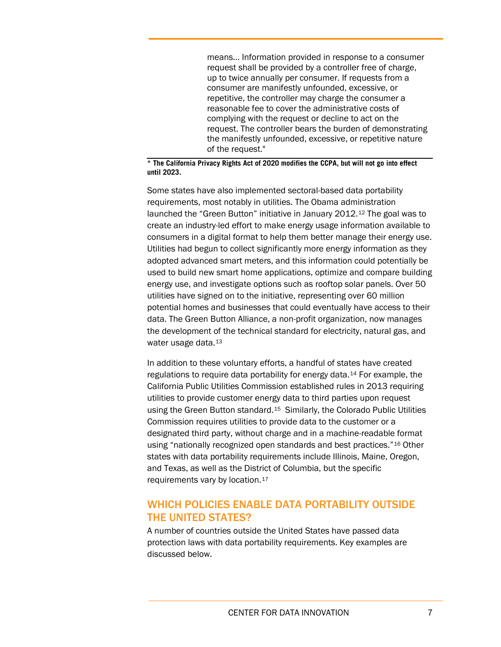means… Information provided in response to a consumer request shall be provided by a controller free of charge, up to twice annually per consumer. If requests from a consumer are manifestly unfounded, excessive, or repetitive, the controller may charge the consumer a reasonable fee to cover the administrative costs of complying with the request or decline to act on the request. The controller bears the burden of demonstrating the manifestly unfounded, excessive, or repetitive nature of the request."

**\* The California Privacy Rights Act of 2020 modifies the CCPA, but will not go into effect until 2023.**

Some states have also implemented sectoral-based data portability requirements, most notably in utilities. The Obama administration launched the "Green Button" initiative in January 2012.[12](#page-17-1) The goal was to create an industry-led effort to make energy usage information available to consumers in a digital format to help them better manage their energy use. Utilities had begun to collect significantly more energy information as they adopted advanced smart meters, and this information could potentially be used to build new smart home applications, optimize and compare building energy use, and investigate options such as rooftop solar panels. Over 50 utilities have signed on to the initiative, representing over 60 million potential homes and businesses that could eventually have access to their data. The Green Button Alliance, a non-profit organization, now manages the development of the technical standard for electricity, natural gas, and water usage data.<sup>[13](#page-17-2)</sup>

In addition to these voluntary efforts, a handful of states have created regulations to require data portability for energy data.[14](#page-17-3) For example, the California Public Utilities Commission established rules in 2013 requiring utilities to provide customer energy data to third parties upon request using the Green Button standard.[15](#page-17-4) Similarly, the Colorado Public Utilities Commission requires utilities to provide data to the customer or a designated third party, without charge and in a machine-readable format using "nationally recognized open standards and best practices."[16](#page-17-5) Other states with data portability requirements include Illinois, Maine, Oregon, and Texas, as well as the District of Columbia, but the specific requirements vary by location.[17](#page-17-6)

## WHICH POLICIES ENABLE DATA PORTABILITY OUTSIDE THE UNITED STATES?

A number of countries outside the United States have passed data protection laws with data portability requirements. Key examples are discussed below.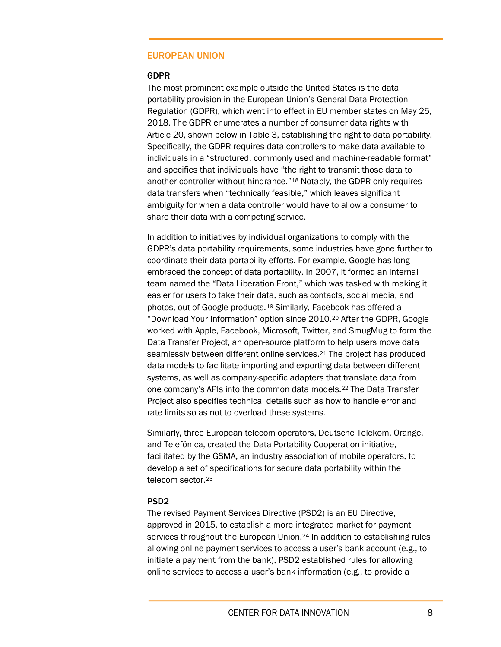## EUROPEAN UNION

#### GDPR

The most prominent example outside the United States is the data portability provision in the European Union's General Data Protection Regulation (GDPR), which went into effect in EU member states on May 25, 2018. The GDPR enumerates a number of consumer data rights with Article 20, shown below in Table 3, establishing the right to data portability. Specifically, the GDPR requires data controllers to make data available to individuals in a "structured, commonly used and machine-readable format" and specifies that individuals have "the right to transmit those data to another controller without hindrance."[18](#page-17-7) Notably, the GDPR only requires data transfers when "technically feasible," which leaves significant ambiguity for when a data controller would have to allow a consumer to share their data with a competing service.

In addition to initiatives by individual organizations to comply with the GDPR's data portability requirements, some industries have gone further to coordinate their data portability efforts. For example, Google has long embraced the concept of data portability. In 2007, it formed an internal team named the "Data Liberation Front," which was tasked with making it easier for users to take their data, such as contacts, social media, and photos, out of Google products.[19](#page-17-8) Similarly, Facebook has offered a "Download Your Information" option since 2010.[20](#page-17-9) After the GDPR, Google worked with Apple, Facebook, Microsoft, Twitter, and SmugMug to form the Data Transfer Project, an open-source platform to help users move data seamlessly between different online services.<sup>[21](#page-17-10)</sup> The project has produced data models to facilitate importing and exporting data between different systems, as well as company-specific adapters that translate data from one company's APIs into the common data models.[22](#page-17-11) The Data Transfer Project also specifies technical details such as how to handle error and rate limits so as not to overload these systems.

Similarly, three European telecom operators, Deutsche Telekom, Orange, and Telefónica, created the Data Portability Cooperation initiative, facilitated by the GSMA, an industry association of mobile operators, to develop a set of specifications for secure data portability within the telecom sector.[23](#page-17-12)

#### PSD2

The revised Payment Services Directive (PSD2) is an EU Directive, approved in 2015, to establish a more integrated market for payment services throughout the European Union.<sup>[24](#page-17-13)</sup> In addition to establishing rules allowing online payment services to access a user's bank account (e.g., to initiate a payment from the bank), PSD2 established rules for allowing online services to access a user's bank information (e.g., to provide a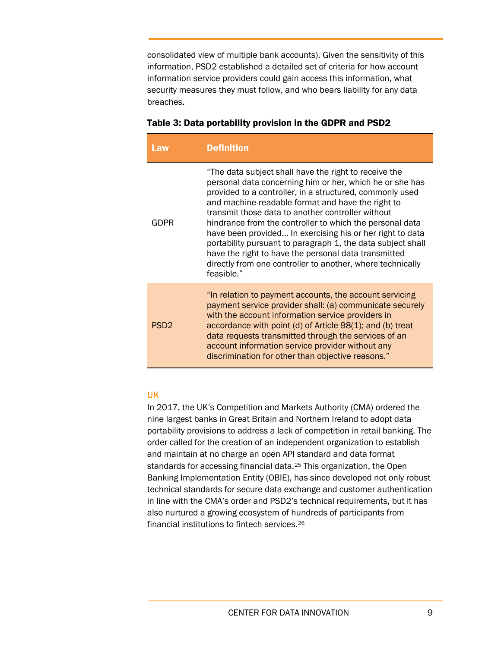consolidated view of multiple bank accounts). Given the sensitivity of this information, PSD2 established a detailed set of criteria for how account information service providers could gain access this information, what security measures they must follow, and who bears liability for any data breaches.

| Law              | <b>Definition</b>                                                                                                                                                                                                                                                                                                                                                                                                                                                                                                                                                                                                   |
|------------------|---------------------------------------------------------------------------------------------------------------------------------------------------------------------------------------------------------------------------------------------------------------------------------------------------------------------------------------------------------------------------------------------------------------------------------------------------------------------------------------------------------------------------------------------------------------------------------------------------------------------|
| GDPR             | "The data subject shall have the right to receive the<br>personal data concerning him or her, which he or she has<br>provided to a controller, in a structured, commonly used<br>and machine-readable format and have the right to<br>transmit those data to another controller without<br>hindrance from the controller to which the personal data<br>have been provided In exercising his or her right to data<br>portability pursuant to paragraph 1, the data subject shall<br>have the right to have the personal data transmitted<br>directly from one controller to another, where technically<br>feasible." |
| PSD <sub>2</sub> | "In relation to payment accounts, the account servicing<br>payment service provider shall: (a) communicate securely<br>with the account information service providers in<br>accordance with point (d) of Article 98(1); and (b) treat<br>data requests transmitted through the services of an<br>account information service provider without any<br>discrimination for other than objective reasons."                                                                                                                                                                                                              |

#### UK

In 2017, the UK's Competition and Markets Authority (CMA) ordered the nine largest banks in Great Britain and Northern Ireland to adopt data portability provisions to address a lack of competition in retail banking. The order called for the creation of an independent organization to establish and maintain at no charge an open API standard and data format standards for accessing financial data.[25](#page-17-14) This organization, the Open Banking Implementation Entity (OBIE), has since developed not only robust technical standards for secure data exchange and customer authentication in line with the CMA's order and PSD2's technical requirements, but it has also nurtured a growing ecosystem of hundreds of participants from financial institutions to fintech services.[26](#page-17-15)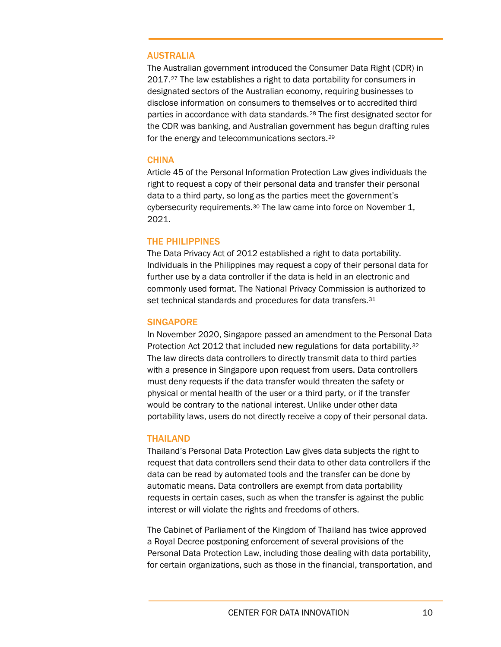#### AUSTRALIA

The Australian government introduced the Consumer Data Right (CDR) in 2017.[27](#page-18-0) The law establishes a right to data portability for consumers in designated sectors of the Australian economy, requiring businesses to disclose information on consumers to themselves or to accredited third parties in accordance with data standards.[28](#page-18-1) The first designated sector for the CDR was banking, and Australian government has begun drafting rules for the energy and telecommunications sectors.[29](#page-18-2)

#### **CHINA**

Article 45 of the Personal Information Protection Law gives individuals the right to request a copy of their personal data and transfer their personal data to a third party, so long as the parties meet the government's cybersecurity requirements.<sup>[30](#page-18-3)</sup> The law came into force on November 1, 2021.

#### THE PHILIPPINES

The Data Privacy Act of 2012 established a right to data portability. Individuals in the Philippines may request a copy of their personal data for further use by a data controller if the data is held in an electronic and commonly used format. The National Privacy Commission is authorized to set technical standards and procedures for data transfers. [31](#page-18-4)

#### **SINGAPORE**

In November 2020, Singapore passed an amendment to the Personal Data Protection Act 2012 that included new regulations for data portability.[32](#page-18-5) The law directs data controllers to directly transmit data to third parties with a presence in Singapore upon request from users. Data controllers must deny requests if the data transfer would threaten the safety or physical or mental health of the user or a third party, or if the transfer would be contrary to the national interest. Unlike under other data portability laws, users do not directly receive a copy of their personal data.

#### THAILAND

Thailand's Personal Data Protection Law gives data subjects the right to request that data controllers send their data to other data controllers if the data can be read by automated tools and the transfer can be done by automatic means. Data controllers are exempt from data portability requests in certain cases, such as when the transfer is against the public interest or will violate the rights and freedoms of others.

The Cabinet of Parliament of the Kingdom of Thailand has twice approved a Royal Decree postponing enforcement of several provisions of the Personal Data Protection Law, including those dealing with data portability, for certain organizations, such as those in the financial, transportation, and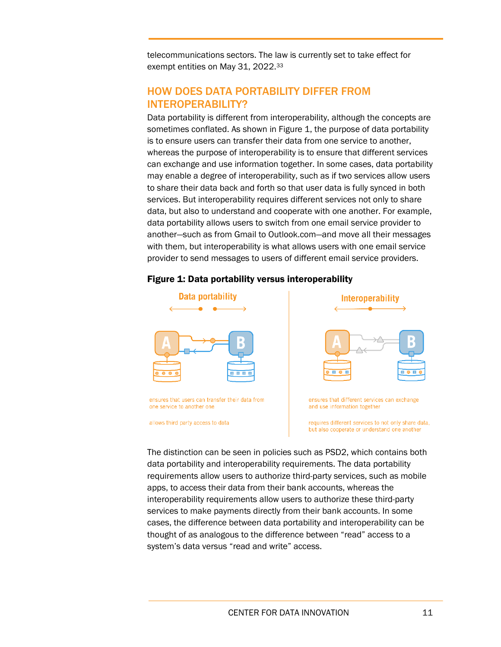telecommunications sectors. The law is currently set to take effect for exempt entities on May 31, 2022.[33](#page-18-6)

# HOW DOES DATA PORTABILITY DIFFER FROM INTEROPERABILITY?

Data portability is different from interoperability, although the concepts are sometimes conflated. As shown in Figure 1, the purpose of data portability is to ensure users can transfer their data from one service to another, whereas the purpose of interoperability is to ensure that different services can exchange and use information together. In some cases, data portability may enable a degree of interoperability, such as if two services allow users to share their data back and forth so that user data is fully synced in both services. But interoperability requires different services not only to share data, but also to understand and cooperate with one another. For example, data portability allows users to switch from one email service provider to another—such as from Gmail to Outlook.com—and move all their messages with them, but interoperability is what allows users with one email service provider to send messages to users of different email service providers.

## Figure 1: Data portability versus interoperability



ensures that users can transfer their data from one service to another one

allows third party access to data



ensures that different services can exchange and use information together

requires different services to not only share data, but also cooperate or understand one another

The distinction can be seen in policies such as PSD2, which contains both data portability and interoperability requirements. The data portability requirements allow users to authorize third-party services, such as mobile apps, to access their data from their bank accounts, whereas the interoperability requirements allow users to authorize these third-party services to make payments directly from their bank accounts. In some cases, the difference between data portability and interoperability can be thought of as analogous to the difference between "read" access to a system's data versus "read and write" access.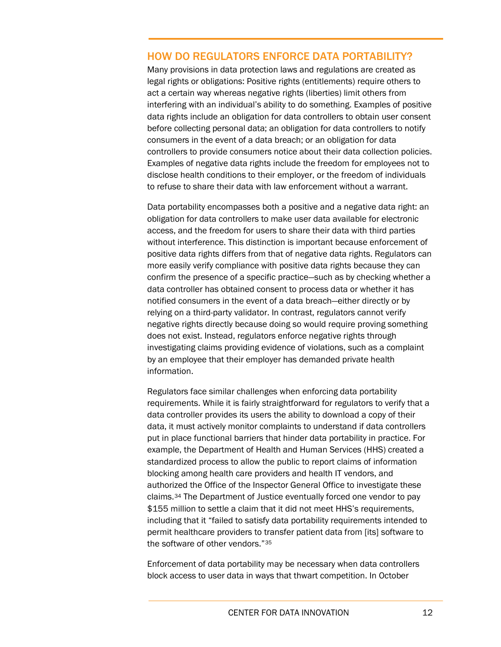## HOW DO REGULATORS ENFORCE DATA PORTABILITY?

Many provisions in data protection laws and regulations are created as legal rights or obligations: Positive rights (entitlements) require others to act a certain way whereas negative rights (liberties) limit others from interfering with an individual's ability to do something. Examples of positive data rights include an obligation for data controllers to obtain user consent before collecting personal data; an obligation for data controllers to notify consumers in the event of a data breach; or an obligation for data controllers to provide consumers notice about their data collection policies. Examples of negative data rights include the freedom for employees not to disclose health conditions to their employer, or the freedom of individuals to refuse to share their data with law enforcement without a warrant.

Data portability encompasses both a positive and a negative data right: an obligation for data controllers to make user data available for electronic access, and the freedom for users to share their data with third parties without interference. This distinction is important because enforcement of positive data rights differs from that of negative data rights. Regulators can more easily verify compliance with positive data rights because they can confirm the presence of a specific practice—such as by checking whether a data controller has obtained consent to process data or whether it has notified consumers in the event of a data breach—either directly or by relying on a third-party validator. In contrast, regulators cannot verify negative rights directly because doing so would require proving something does not exist. Instead, regulators enforce negative rights through investigating claims providing evidence of violations, such as a complaint by an employee that their employer has demanded private health information.

Regulators face similar challenges when enforcing data portability requirements. While it is fairly straightforward for regulators to verify that a data controller provides its users the ability to download a copy of their data, it must actively monitor complaints to understand if data controllers put in place functional barriers that hinder data portability in practice. For example, the Department of Health and Human Services (HHS) created a standardized process to allow the public to report claims of information blocking among health care providers and health IT vendors, and authorized the Office of the Inspector General Office to investigate these claims.[34](#page-18-7) The Department of Justice eventually forced one vendor to pay \$155 million to settle a claim that it did not meet HHS's requirements, including that it "failed to satisfy data portability requirements intended to permit healthcare providers to transfer patient data from [its] software to the software of other vendors."[35](#page-18-8)

Enforcement of data portability may be necessary when data controllers block access to user data in ways that thwart competition. In October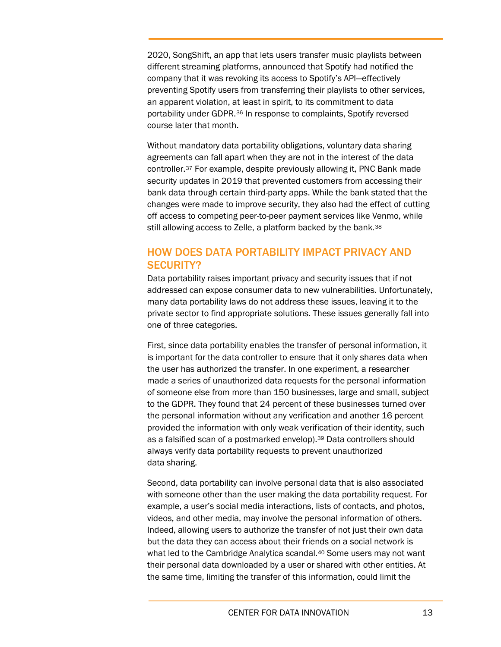2020, SongShift, an app that lets users transfer music playlists between different streaming platforms, announced that Spotify had notified the company that it was revoking its access to Spotify's API—effectively preventing Spotify users from transferring their playlists to other services, an apparent violation, at least in spirit, to its commitment to data portability under GDPR.[36](#page-18-9) In response to complaints, Spotify reversed course later that month.

Without mandatory data portability obligations, voluntary data sharing agreements can fall apart when they are not in the interest of the data controller.[37](#page-18-10) For example, despite previously allowing it, PNC Bank made security updates in 2019 that prevented customers from accessing their bank data through certain third-party apps. While the bank stated that the changes were made to improve security, they also had the effect of cutting off access to competing peer-to-peer payment services like Venmo, while still allowing access to Zelle, a platform backed by the bank.<sup>[38](#page-18-11)</sup>

# HOW DOES DATA PORTABILITY IMPACT PRIVACY AND SECURITY?

Data portability raises important privacy and security issues that if not addressed can expose consumer data to new vulnerabilities. Unfortunately, many data portability laws do not address these issues, leaving it to the private sector to find appropriate solutions. These issues generally fall into one of three categories.

First, since data portability enables the transfer of personal information, it is important for the data controller to ensure that it only shares data when the user has authorized the transfer. In one experiment, a researcher made a series of unauthorized data requests for the personal information of someone else from more than 150 businesses, large and small, subject to the GDPR. They found that 24 percent of these businesses turned over the personal information without any verification and another 16 percent provided the information with only weak verification of their identity, such as a falsified scan of a postmarked envelop).<sup>[39](#page-18-12)</sup> Data controllers should always verify data portability requests to prevent unauthorized data sharing.

Second, data portability can involve personal data that is also associated with someone other than the user making the data portability request. For example, a user's social media interactions, lists of contacts, and photos, videos, and other media, may involve the personal information of others. Indeed, allowing users to authorize the transfer of not just their own data but the data they can access about their friends on a social network is what led to the Cambridge Analytica scandal.<sup>[40](#page-18-13)</sup> Some users may not want their personal data downloaded by a user or shared with other entities. At the same time, limiting the transfer of this information, could limit the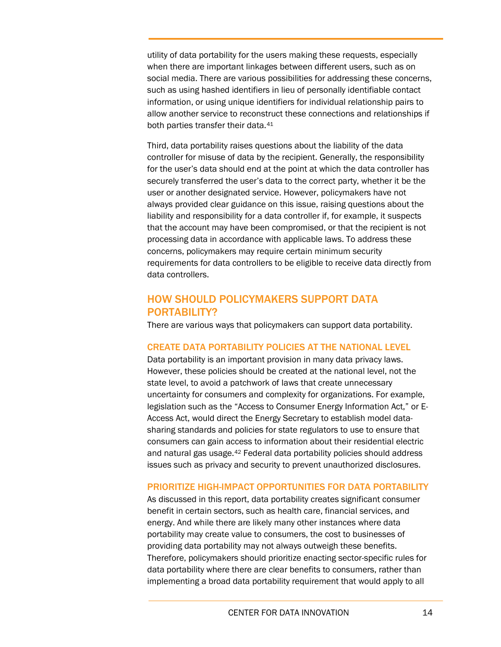utility of data portability for the users making these requests, especially when there are important linkages between different users, such as on social media. There are various possibilities for addressing these concerns, such as using hashed identifiers in lieu of personally identifiable contact information, or using unique identifiers for individual relationship pairs to allow another service to reconstruct these connections and relationships if both parties transfer their data.<sup>[41](#page-19-0)</sup>

Third, data portability raises questions about the liability of the data controller for misuse of data by the recipient. Generally, the responsibility for the user's data should end at the point at which the data controller has securely transferred the user's data to the correct party, whether it be the user or another designated service. However, policymakers have not always provided clear guidance on this issue, raising questions about the liability and responsibility for a data controller if, for example, it suspects that the account may have been compromised, or that the recipient is not processing data in accordance with applicable laws. To address these concerns, policymakers may require certain minimum security requirements for data controllers to be eligible to receive data directly from data controllers.

# HOW SHOULD POLICYMAKERS SUPPORT DATA PORTABILITY?

There are various ways that policymakers can support data portability.

## CREATE DATA PORTABILITY POLICIES AT THE NATIONAL LEVEL

Data portability is an important provision in many data privacy laws. However, these policies should be created at the national level, not the state level, to avoid a patchwork of laws that create unnecessary uncertainty for consumers and complexity for organizations. For example, legislation such as the "Access to Consumer Energy Information Act," or E-Access Act, would direct the Energy Secretary to establish model datasharing standards and policies for state regulators to use to ensure that consumers can gain access to information about their residential electric and natural gas usage.[42](#page-19-1) Federal data portability policies should address issues such as privacy and security to prevent unauthorized disclosures.

#### PRIORITIZE HIGH-IMPACT OPPORTUNITIES FOR DATA PORTABILITY

As discussed in this report, data portability creates significant consumer benefit in certain sectors, such as health care, financial services, and energy. And while there are likely many other instances where data portability may create value to consumers, the cost to businesses of providing data portability may not always outweigh these benefits. Therefore, policymakers should prioritize enacting sector-specific rules for data portability where there are clear benefits to consumers, rather than implementing a broad data portability requirement that would apply to all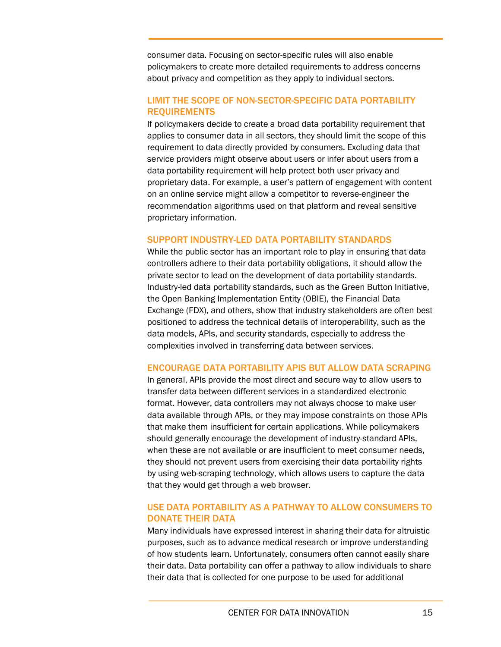consumer data. Focusing on sector-specific rules will also enable policymakers to create more detailed requirements to address concerns about privacy and competition as they apply to individual sectors.

## LIMIT THE SCOPE OF NON-SECTOR-SPECIFIC DATA PORTABILITY REQUIREMENTS

If policymakers decide to create a broad data portability requirement that applies to consumer data in all sectors, they should limit the scope of this requirement to data directly provided by consumers. Excluding data that service providers might observe about users or infer about users from a data portability requirement will help protect both user privacy and proprietary data. For example, a user's pattern of engagement with content on an online service might allow a competitor to reverse-engineer the recommendation algorithms used on that platform and reveal sensitive proprietary information.

#### SUPPORT INDUSTRY-LED DATA PORTABILITY STANDARDS

While the public sector has an important role to play in ensuring that data controllers adhere to their data portability obligations, it should allow the private sector to lead on the development of data portability standards. Industry-led data portability standards, such as the Green Button Initiative, the Open Banking Implementation Entity (OBIE), the Financial Data Exchange (FDX), and others, show that industry stakeholders are often best positioned to address the technical details of interoperability, such as the data models, APIs, and security standards, especially to address the complexities involved in transferring data between services.

## ENCOURAGE DATA PORTABILITY APIS BUT ALLOW DATA SCRAPING

In general, APIs provide the most direct and secure way to allow users to transfer data between different services in a standardized electronic format. However, data controllers may not always choose to make user data available through APIs, or they may impose constraints on those APIs that make them insufficient for certain applications. While policymakers should generally encourage the development of industry-standard APIs, when these are not available or are insufficient to meet consumer needs, they should not prevent users from exercising their data portability rights by using web-scraping technology, which allows users to capture the data that they would get through a web browser.

## USE DATA PORTABILITY AS A PATHWAY TO ALLOW CONSUMERS TO DONATE THEIR DATA

Many individuals have expressed interest in sharing their data for altruistic purposes, such as to advance medical research or improve understanding of how students learn. Unfortunately, consumers often cannot easily share their data. Data portability can offer a pathway to allow individuals to share their data that is collected for one purpose to be used for additional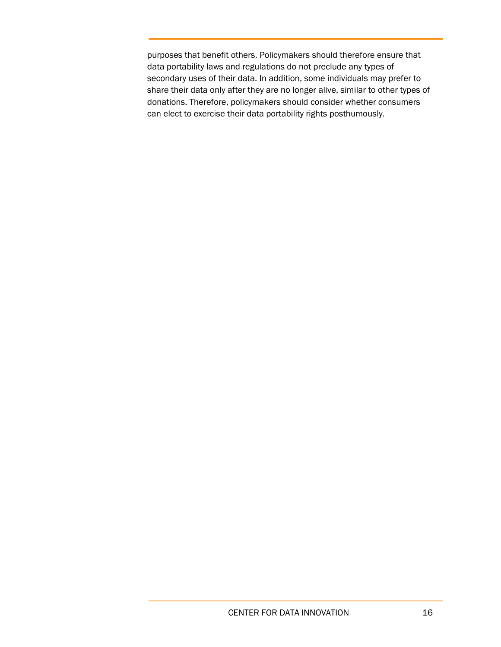purposes that benefit others. Policymakers should therefore ensure that data portability laws and regulations do not preclude any types of secondary uses of their data. In addition, some individuals may prefer to share their data only after they are no longer alive, similar to other types of donations. Therefore, policymakers should consider whether consumers can elect to exercise their data portability rights posthumously.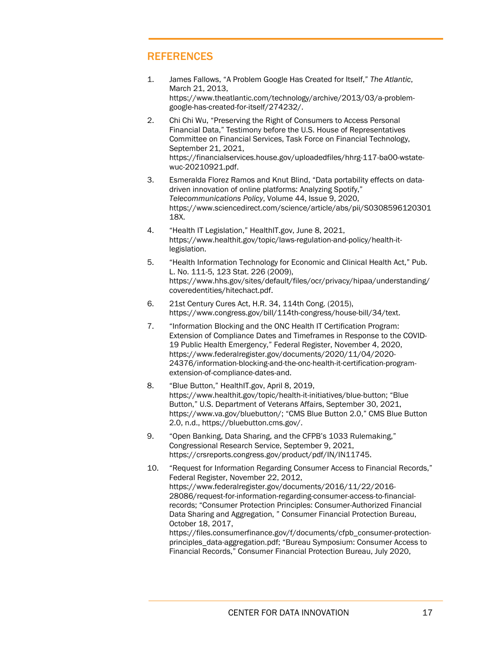# **REFERENCES**

- <span id="page-16-0"></span>1. James Fallows, "A Problem Google Has Created for Itself," *The Atlantic*, March 21, 2013, [https://www.theatlantic.com/technology/archive/2013/03/a-problem](https://www.theatlantic.com/technology/archive/2013/03/a-problem-google-has-created-for-itself/274232/)[google-has-created-for-itself/274232/.](https://www.theatlantic.com/technology/archive/2013/03/a-problem-google-has-created-for-itself/274232/)
- <span id="page-16-1"></span>2. Chi Chi Wu, "Preserving the Right of Consumers to Access Personal Financial Data," Testimony before the U.S. House of Representatives Committee on Financial Services, Task Force on Financial Technology, September 21, 2021, [https://financialservices.house.gov/uploadedfiles/hhrg-117-ba00-wstate](https://financialservices.house.gov/uploadedfiles/hhrg-117-ba00-wstate-wuc-20210921.pdf)[wuc-20210921.pdf.](https://financialservices.house.gov/uploadedfiles/hhrg-117-ba00-wstate-wuc-20210921.pdf)
- <span id="page-16-2"></span>3. Esmeralda Florez Ramos and Knut Blind, "Data portability effects on datadriven innovation of online platforms: Analyzing Spotify," *Telecommunications Policy*, Volume 44, Issue 9, 2020, [https://www.sciencedirect.com/science/article/abs/pii/S0308596120301](https://www.sciencedirect.com/science/article/abs/pii/S030859612030118X) [18X.](https://www.sciencedirect.com/science/article/abs/pii/S030859612030118X)
- <span id="page-16-3"></span>4. "Health IT Legislation," HealthIT.gov, June 8, 2021, [https://www.healthit.gov/topic/laws-regulation-and-policy/health-it](https://www.healthit.gov/topic/laws-regulation-and-policy/health-it-legislation)[legislation.](https://www.healthit.gov/topic/laws-regulation-and-policy/health-it-legislation)
- <span id="page-16-4"></span>5. "Health Information Technology for Economic and Clinical Health Act," Pub. L. No. 111-5, 123 Stat. 226 (2009), [https://www.hhs.gov/sites/default/files/ocr/privacy/hipaa/understanding/](https://www.hhs.gov/sites/default/files/ocr/privacy/hipaa/understanding/coveredentities/hitechact.pdf) [coveredentities/hitechact.pdf.](https://www.hhs.gov/sites/default/files/ocr/privacy/hipaa/understanding/coveredentities/hitechact.pdf)
- <span id="page-16-5"></span>6. 21st Century Cures Act, H.R. 34, 114th Cong. (2015), [https://www.congress.gov/bill/114th-congress/house-bill/34/text.](https://www.congress.gov/bill/114th-congress/house-bill/34/text)
- <span id="page-16-6"></span>7. "Information Blocking and the ONC Health IT Certification Program: Extension of Compliance Dates and Timeframes in Response to the COVID-19 Public Health Emergency," Federal Register, November 4, 2020, [https://www.federalregister.gov/documents/2020/11/04/2020-](https://www.federalregister.gov/documents/2020/11/04/2020-24376/information-blocking-and-the-onc-health-it-certification-program-extension-of-compliance-dates-and) [24376/information-blocking-and-the-onc-health-it-certification-program](https://www.federalregister.gov/documents/2020/11/04/2020-24376/information-blocking-and-the-onc-health-it-certification-program-extension-of-compliance-dates-and)[extension-of-compliance-dates-and.](https://www.federalregister.gov/documents/2020/11/04/2020-24376/information-blocking-and-the-onc-health-it-certification-program-extension-of-compliance-dates-and)
- <span id="page-16-7"></span>8. "Blue Button," HealthIT.gov, April 8, 2019, [https://www.healthit.gov/topic/health-it-initiatives/blue-button;](https://www.healthit.gov/topic/health-it-initiatives/blue-button) "Blue Button," U.S. Department of Veterans Affairs, September 30, 2021, [https://www.va.gov/bluebutton/;](https://www.va.gov/bluebutton/) "CMS Blue Button 2.0," CMS Blue Button 2.0, n.d., [https://bluebutton.cms.gov/.](https://bluebutton.cms.gov/)
- <span id="page-16-8"></span>9. "Open Banking, Data Sharing, and the CFPB's 1033 Rulemaking," Congressional Research Service, September 9, 2021, https://crsreports.congress.gov/product/pdf/IN/IN11745.
- <span id="page-16-9"></span>10. "Request for Information Regarding Consumer Access to Financial Records," Federal Register, November 22, 2012, [https://www.federalregister.gov/documents/2016/11/22/2016-](https://www.federalregister.gov/documents/2016/11/22/2016-28086/request-for-information-regarding-consumer-access-to-financial-records) [28086/request-for-information-regarding-consumer-access-to-financial](https://www.federalregister.gov/documents/2016/11/22/2016-28086/request-for-information-regarding-consumer-access-to-financial-records)[records;](https://www.federalregister.gov/documents/2016/11/22/2016-28086/request-for-information-regarding-consumer-access-to-financial-records) "Consumer Protection Principles: Consumer-Authorized Financial Data Sharing and Aggregation, " Consumer Financial Protection Bureau, October 18, 2017,

[https://files.consumerfinance.gov/f/documents/cfpb\\_consumer-protection](https://files.consumerfinance.gov/f/documents/cfpb_consumer-protection-principles_data-aggregation.pdf)[principles\\_data-aggregation.pdf;](https://files.consumerfinance.gov/f/documents/cfpb_consumer-protection-principles_data-aggregation.pdf) "Bureau Symposium: Consumer Access to Financial Records," Consumer Financial Protection Bureau, July 2020,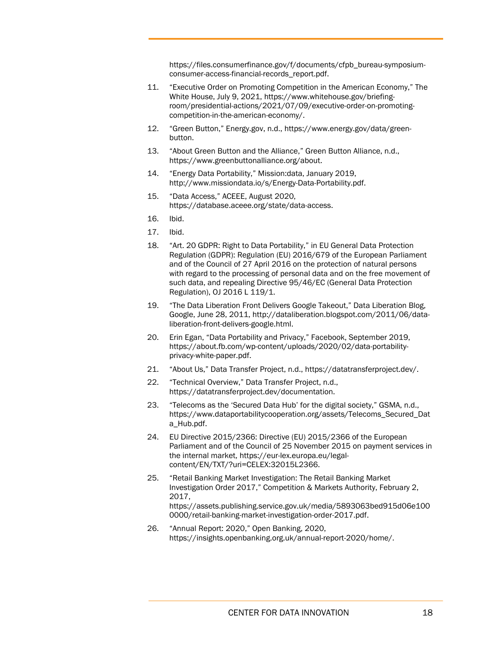[https://files.consumerfinance.gov/f/documents/cfpb\\_bureau-symposium](https://files.consumerfinance.gov/f/documents/cfpb_bureau-symposium-consumer-access-financial-records_report.pdf)[consumer-access-financial-records\\_report.pdf.](https://files.consumerfinance.gov/f/documents/cfpb_bureau-symposium-consumer-access-financial-records_report.pdf)

- <span id="page-17-0"></span>11. "Executive Order on Promoting Competition in the American Economy," The White House, July 9, 2021, [https://www.whitehouse.gov/briefing](https://www.whitehouse.gov/briefing-room/presidential-actions/2021/07/09/executive-order-on-promoting-competition-in-the-american-economy/)[room/presidential-actions/2021/07/09/executive-order-on-promoting](https://www.whitehouse.gov/briefing-room/presidential-actions/2021/07/09/executive-order-on-promoting-competition-in-the-american-economy/)[competition-in-the-american-economy/.](https://www.whitehouse.gov/briefing-room/presidential-actions/2021/07/09/executive-order-on-promoting-competition-in-the-american-economy/)
- <span id="page-17-1"></span>12. "Green Button," Energy.gov, n.d.[, https://www.energy.gov/data/green](https://www.energy.gov/data/green-button)[button.](https://www.energy.gov/data/green-button)
- <span id="page-17-2"></span>13. "About Green Button and the Alliance," Green Button Alliance, n.d., [https://www.greenbuttonalliance.org/about.](https://www.greenbuttonalliance.org/about)
- <span id="page-17-3"></span>14. "Energy Data Portability," Mission:data, January 2019, [http://www.missiondata.io/s/Energy-Data-Portability.pdf.](http://www.missiondata.io/s/Energy-Data-Portability.pdf)
- <span id="page-17-4"></span>15. "Data Access," ACEEE, August 2020, [https://database.aceee.org/state/data-access.](https://database.aceee.org/state/data-access)
- <span id="page-17-5"></span>16. Ibid.
- <span id="page-17-6"></span>17. Ibid.
- <span id="page-17-7"></span>18. "Art. 20 GDPR: Right to Data Portability," in EU General Data Protection Regulation (GDPR): Regulation (EU) 2016/679 of the European Parliament and of the Council of 27 April 2016 on the protection of natural persons with regard to the processing of personal data and on the free movement of such data, and repealing Directive 95/46/EC (General Data Protection Regulation), OJ 2016 L 119/1.
- <span id="page-17-8"></span>19. "The Data Liberation Front Delivers Google Takeout," Data Liberation Blog, Google, June 28, 2011, http://dataliberation.blogspot.com/2011/06/dataliberation-front-delivers-google.html.
- <span id="page-17-9"></span>20. Erin Egan, "Data Portability and Privacy," Facebook, September 2019, https://about.fb.com/wp-content/uploads/2020/02/data-portabilityprivacy-white-paper.pdf.
- <span id="page-17-10"></span>21. "About Us," Data Transfer Project, n.d., https://datatransferproject.dev/.
- <span id="page-17-11"></span>22. "Technical Overview," Data Transfer Project, n.d., [https://datatransferproject.dev/documentation.](https://datatransferproject.dev/documentation)
- <span id="page-17-12"></span>23. "Telecoms as the 'Secured Data Hub' for the digital society," GSMA, n.d., [https://www.dataportabilitycooperation.org/assets/Telecoms\\_Secured\\_Dat](https://www.dataportabilitycooperation.org/assets/Telecoms_Secured_Data_Hub.pdf) [a\\_Hub.pdf.](https://www.dataportabilitycooperation.org/assets/Telecoms_Secured_Data_Hub.pdf)
- <span id="page-17-13"></span>24. EU Directive 2015/2366: Directive (EU) 2015/2366 of the European Parliament and of the Council of 25 November 2015 on payment services in the internal market, [https://eur-lex.europa.eu/legal](https://eur-lex.europa.eu/legal-content/EN/TXT/?uri=CELEX:32015L2366)[content/EN/TXT/?uri=CELEX:32015L2366.](https://eur-lex.europa.eu/legal-content/EN/TXT/?uri=CELEX:32015L2366)
- <span id="page-17-14"></span>25. "Retail Banking Market Investigation: The Retail Banking Market Investigation Order 2017," Competition & Markets Authority, February 2, 2017, [https://assets.publishing.service.gov.uk/media/5893063bed915d06e100](https://assets.publishing.service.gov.uk/media/5893063bed915d06e1000000/retail-banking-market-investigation-order-2017.pdf) [0000/retail-banking-market-investigation-order-2017.pdf.](https://assets.publishing.service.gov.uk/media/5893063bed915d06e1000000/retail-banking-market-investigation-order-2017.pdf)
- <span id="page-17-15"></span>26. "Annual Report: 2020," Open Banking, 2020, https://insights.openbanking.org.uk/annual-report-2020/home/.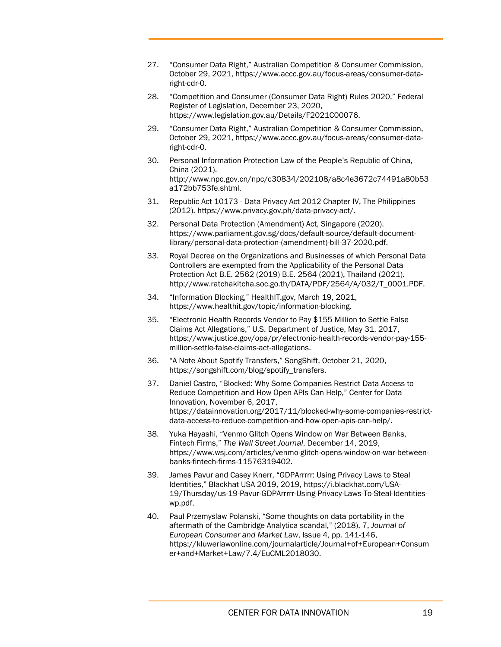- <span id="page-18-0"></span>27. "Consumer Data Right," Australian Competition & Consumer Commission, October 29, 2021, https://www.accc.gov.au/focus-areas/consumer-dataright-cdr-0.
- <span id="page-18-1"></span>28. "Competition and Consumer (Consumer Data Right) Rules 2020," Federal Register of Legislation, December 23, 2020, https://www.legislation.gov.au/Details/F2021C00076.
- <span id="page-18-2"></span>29. "Consumer Data Right," Australian Competition & Consumer Commission, October 29, 2021, https://www.accc.gov.au/focus-areas/consumer-dataright-cdr-0.
- <span id="page-18-3"></span>30. Personal Information Protection Law of the People's Republic of China, China (2021). http://www.npc.gov.cn/npc/c30834/202108/a8c4e3672c74491a80b53 a172bb753fe.shtml.
- <span id="page-18-4"></span>31. Republic Act 10173 - Data Privacy Act 2012 Chapter IV, The Philippines (2012). https://www.privacy.gov.ph/data-privacy-act/.
- <span id="page-18-5"></span>32. Personal Data Protection (Amendment) Act, Singapore (2020). https://www.parliament.gov.sg/docs/default-source/default-documentlibrary/personal-data-protection-(amendment)-bill-37-2020.pdf.
- <span id="page-18-6"></span>33. Royal Decree on the Organizations and Businesses of which Personal Data Controllers are exempted from the Applicability of the Personal Data Protection Act B.E. 2562 (2019) B.E. 2564 (2021), Thailand (2021). http://www.ratchakitcha.soc.go.th/DATA/PDF/2564/A/032/T\_0001.PDF.
- <span id="page-18-7"></span>34. "Information Blocking," HealthIT.gov, March 19, 2021, https://www.healthit.gov/topic/information-blocking.
- <span id="page-18-8"></span>35. "Electronic Health Records Vendor to Pay \$155 Million to Settle False Claims Act Allegations," U.S. Department of Justice, May 31, 2017, https://www.justice.gov/opa/pr/electronic-health-records-vendor-pay-155 million-settle-false-claims-act-allegations.
- <span id="page-18-9"></span>36. "A Note About Spotify Transfers," SongShift, October 21, 2020, https://songshift.com/blog/spotify\_transfers.
- <span id="page-18-10"></span>37. Daniel Castro, "Blocked: Why Some Companies Restrict Data Access to Reduce Competition and How Open APIs Can Help," Center for Data Innovation, November 6, 2017, https://datainnovation.org/2017/11/blocked-why-some-companies-restrictdata-access-to-reduce-competition-and-how-open-apis-can-help/.
- <span id="page-18-11"></span>38. Yuka Hayashi, "Venmo Glitch Opens Window on War Between Banks, Fintech Firms," *The Wall Street Journal*, December 14, 2019, https://www.wsj.com/articles/venmo-glitch-opens-window-on-war-betweenbanks-fintech-firms-11576319402.
- <span id="page-18-12"></span>39. James Pavur and Casey Knerr, "GDPArrrrr: Using Privacy Laws to Steal Identities," Blackhat USA 2019, 2019, https://i.blackhat.com/USA-19/Thursday/us-19-Pavur-GDPArrrrr-Using-Privacy-Laws-To-Steal-Identitieswp.pdf.
- <span id="page-18-13"></span>40. Paul Przemyslaw Polanski, "Some thoughts on data portability in the aftermath of the Cambridge Analytica scandal," (2018), 7, *Journal of European Consumer and Market Law*, Issue 4, pp. 141-146, https://kluwerlawonline.com/journalarticle/Journal+of+European+Consum er+and+Market+Law/7.4/EuCML2018030.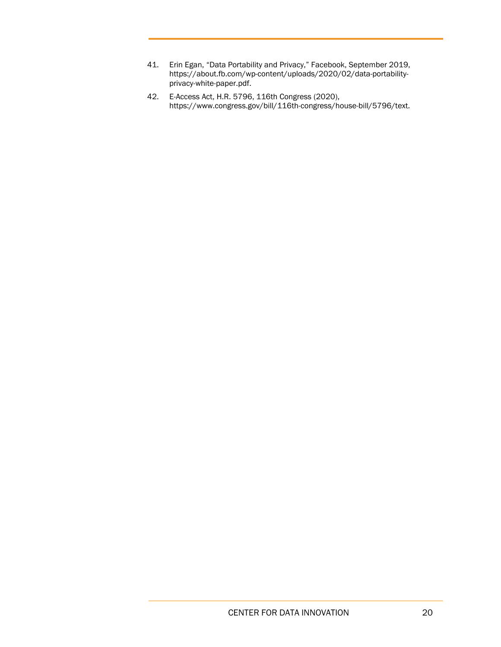- <span id="page-19-0"></span>41. Erin Egan, "Data Portability and Privacy," Facebook, September 2019, https://about.fb.com/wp-content/uploads/2020/02/data-portabilityprivacy-white-paper.pdf.
- <span id="page-19-1"></span>42. E-Access Act, H.R. 5796, 116th Congress (2020), https://www.congress.gov/bill/116th-congress/house-bill/5796/text.